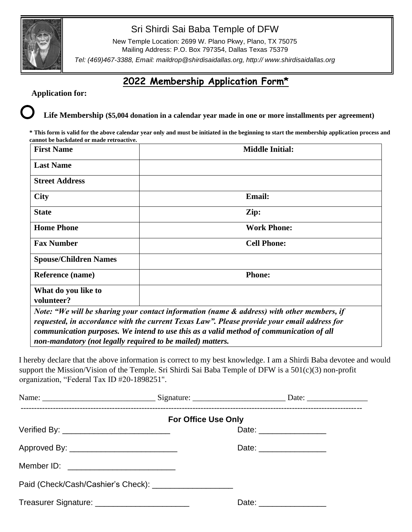

## Sri Shirdi Sai Baba Temple of DFW

New Temple Location: 2699 W. Plano Pkwy, Plano, TX 75075 Mailing Address: P.O. Box 797354, Dallas Texas 75379

*Tel: (469)467-3388, Email: maildrop@shirdisaidallas.org, http:// www.shirdisaidallas.org*

# **2022 Membership Application Form\***

## **Application for:**

## **Life Membership (\$5,004 donation in a calendar year made in one or more installments per agreement)**

**\* This form is valid for the above calendar year only and must be initiated in the beginning to start the membership application process and cannot be backdated or made retroactive.**

| <b>First Name</b>                                                                           | <b>Middle Initial:</b> |  |
|---------------------------------------------------------------------------------------------|------------------------|--|
| <b>Last Name</b>                                                                            |                        |  |
| <b>Street Address</b>                                                                       |                        |  |
| <b>City</b>                                                                                 | <b>Email:</b>          |  |
| <b>State</b>                                                                                | Zip:                   |  |
| <b>Home Phone</b>                                                                           | <b>Work Phone:</b>     |  |
| <b>Fax Number</b>                                                                           | <b>Cell Phone:</b>     |  |
| <b>Spouse/Children Names</b>                                                                |                        |  |
| Reference (name)                                                                            | <b>Phone:</b>          |  |
| What do you like to                                                                         |                        |  |
| volunteer?                                                                                  |                        |  |
| Note: "We will be sharing your contact information (name & address) with other members, if  |                        |  |
| requested, in accordance with the current Texas Law". Please provide your email address for |                        |  |
| communication purposes. We intend to use this as a valid method of communication of all     |                        |  |
| non-mandatory (not legally required to be mailed) matters.                                  |                        |  |

I hereby declare that the above information is correct to my best knowledge. I am a Shirdi Baba devotee and would support the Mission/Vision of the Temple. Sri Shirdi Sai Baba Temple of DFW is a 501(c)(3) non-profit organization, "Federal Tax ID #20-1898251".

| <b>For Office Use Only</b>                              |  |                          |  |  |
|---------------------------------------------------------|--|--------------------------|--|--|
|                                                         |  | Date: _________________  |  |  |
| Approved By: _______________________________            |  | Date: __________________ |  |  |
|                                                         |  |                          |  |  |
| Paid (Check/Cash/Cashier's Check): ____________________ |  |                          |  |  |
| Treasurer Signature: __________________________         |  | Date: __________________ |  |  |